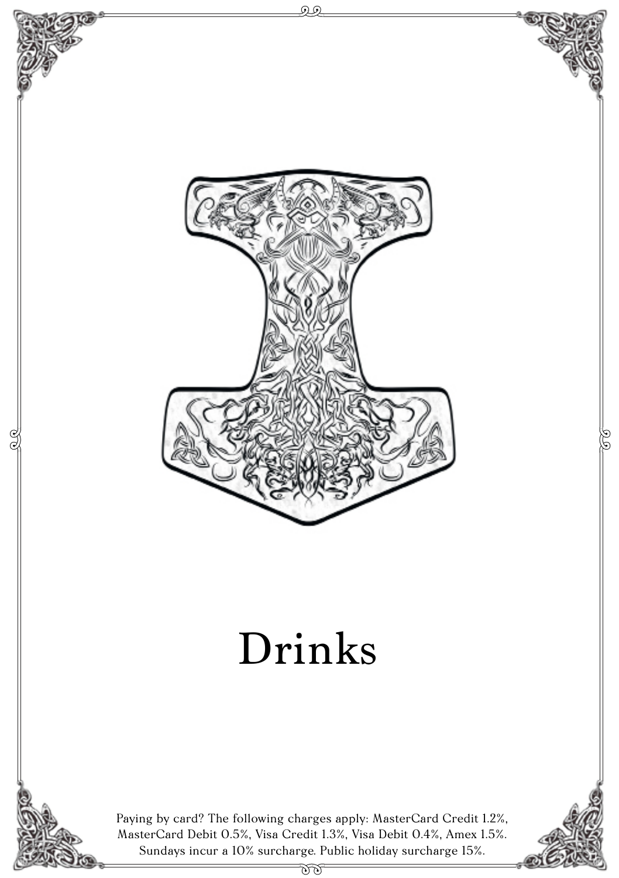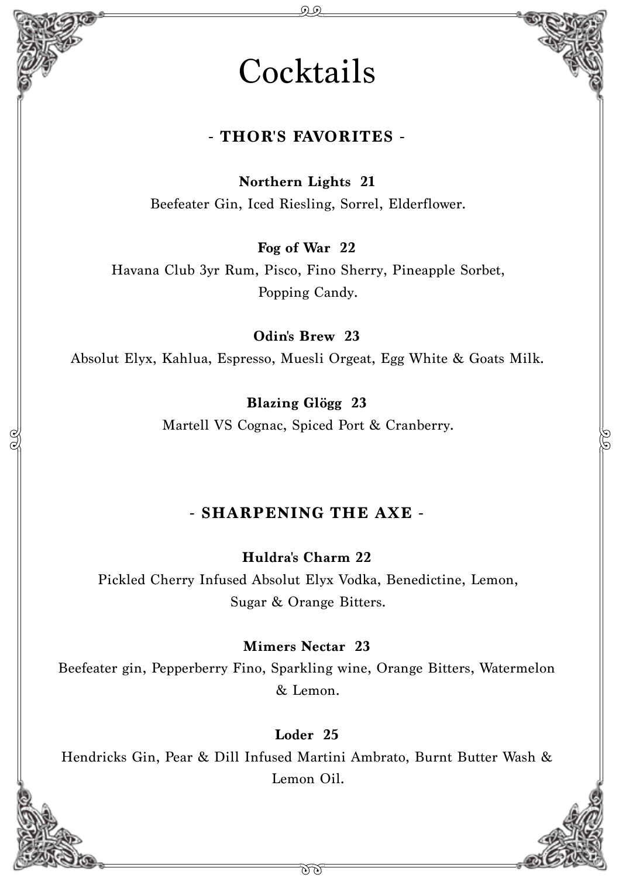## **Cocktails**

#### **- THOR'S FAVORITES -**

**Northern Lights 21** Beefeater Gin, Iced Riesling, Sorrel, Elderflower.

**Fog of War 22**

Havana Club 3yr Rum, Pisco, Fino Sherry, Pineapple Sorbet, Popping Candy.

**Odin's Brew 23**

Absolut Elyx, Kahlua, Espresso, Muesli Orgeat, Egg White & Goats Milk.

**Blazing Glögg 23** Martell VS Cognac, Spiced Port & Cranberry.

#### **- SHARPENING THE AXE -**

**Huldra's Charm 22** Pickled Cherry Infused Absolut Elyx Vodka, Benedictine, Lemon, Sugar & Orange Bitters.

**Mimers Nectar 23**

Beefeater gin, Pepperberry Fino, Sparkling wine, Orange Bitters, Watermelon & Lemon.

**Loder 25**

Hendricks Gin, Pear & Dill Infused Martini Ambrato, Burnt Butter Wash & Lemon Oil.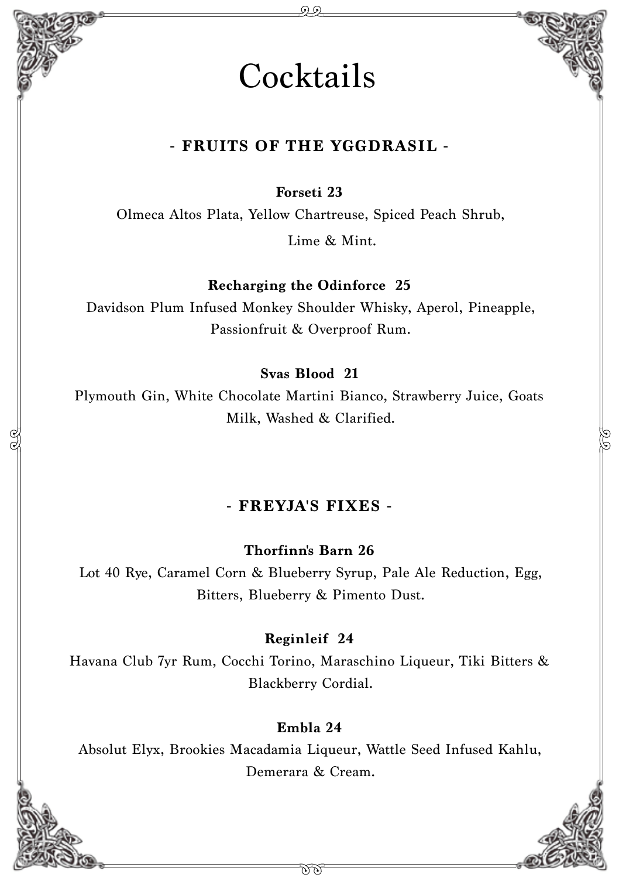

#### **- FRUITS OF THE YGGDRASIL -**

**Forseti 23**

Olmeca Altos Plata, Yellow Chartreuse, Spiced Peach Shrub,

Lime & Mint.

**Recharging the Odinforce 25**

Davidson Plum Infused Monkey Shoulder Whisky, Aperol, Pineapple, Passionfruit & Overproof Rum.

**Svas Blood 21**

Plymouth Gin, White Chocolate Martini Bianco, Strawberry Juice, Goats Milk, Washed & Clarified.

#### **- FREYJA'S FIXES -**

**Thorfinn's Barn 26**

Lot 40 Rye, Caramel Corn & Blueberry Syrup, Pale Ale Reduction, Egg, Bitters, Blueberry & Pimento Dust.

#### **Reginleif 24**

Havana Club 7yr Rum, Cocchi Torino, Maraschino Liqueur, Tiki Bitters & Blackberry Cordial.

#### **Embla 24**

Absolut Elyx, Brookies Macadamia Liqueur, Wattle Seed Infused Kahlu, Demerara & Cream.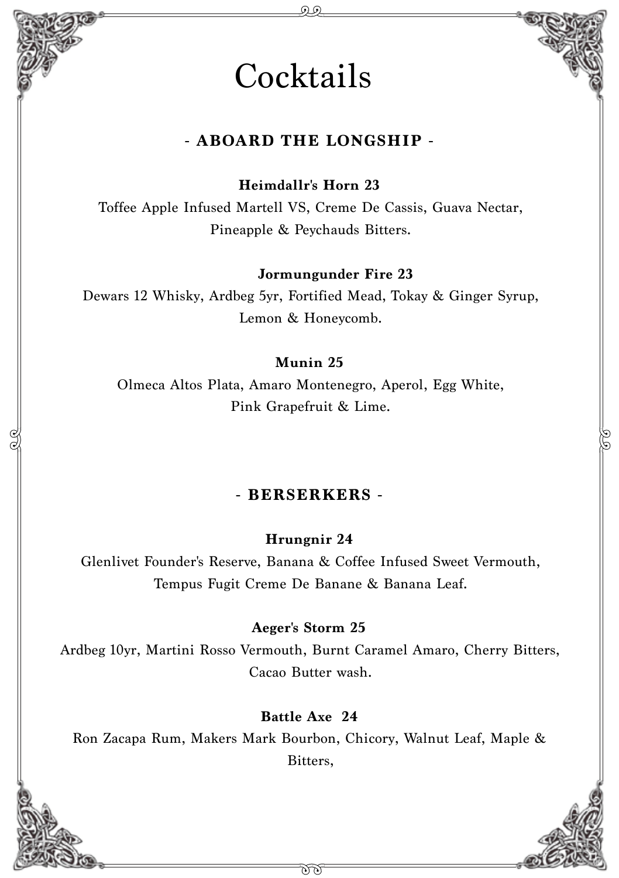## **Cocktails**

#### **- ABOARD THE LONGSHIP -**

**Heimdallr's Horn 23**

Toffee Apple Infused Martell VS, Creme De Cassis, Guava Nectar, Pineapple & Peychauds Bitters.

**Jormungunder Fire 23**

Dewars 12 Whisky, Ardbeg 5yr, Fortified Mead, Tokay & Ginger Syrup, Lemon & Honeycomb.

#### **Munin 25**

Olmeca Altos Plata, Amaro Montenegro, Aperol, Egg White, Pink Grapefruit & Lime.

#### **- BERSERKERS -**

**Hrungnir 24**

Glenlivet Founder's Reserve, Banana & Coffee Infused Sweet Vermouth, Tempus Fugit Creme De Banane & Banana Leaf.

#### **Aeger's Storm 25**

Ardbeg 10yr, Martini Rosso Vermouth, Burnt Caramel Amaro, Cherry Bitters, Cacao Butter wash.

#### **Battle Axe 24**

Ron Zacapa Rum, Makers Mark Bourbon, Chicory, Walnut Leaf, Maple & Bitters,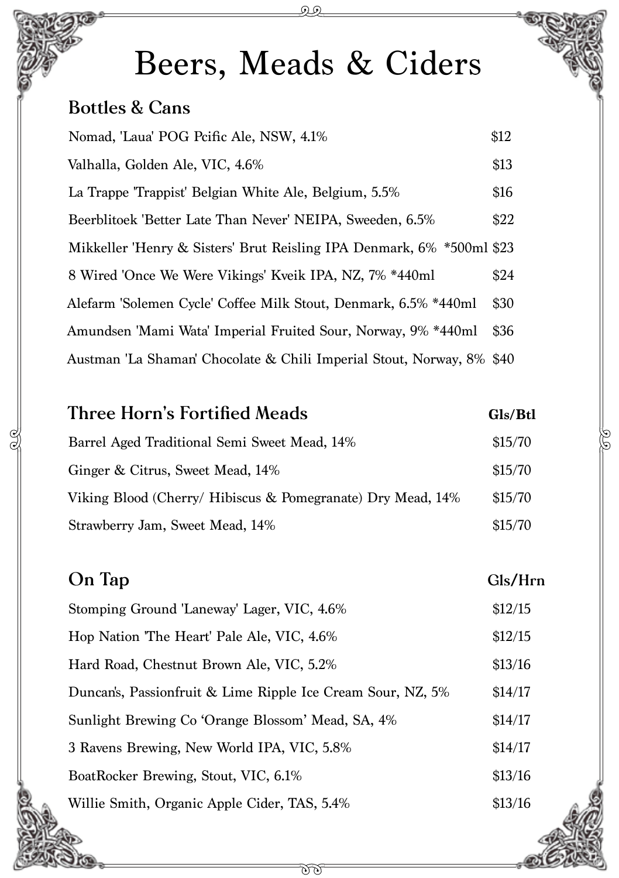# Beers, Meads & Ciders

#### **Bottles & Cans**

| Nomad, 'Laua' POG Peific Ale, NSW, 4.1%                               | \$12 |
|-----------------------------------------------------------------------|------|
| Valhalla, Golden Ale, VIC, 4.6%                                       | \$13 |
| La Trappe 'Trappist' Belgian White Ale, Belgium, 5.5%                 | \$16 |
| Beerblitoek 'Better Late Than Never' NEIPA, Sweeden, 6.5%             | \$22 |
| Mikkeller 'Henry & Sisters' Brut Reisling IPA Denmark, 6% *500ml \$23 |      |
| 8 Wired 'Once We Were Vikings' Kveik IPA, NZ, 7% *440ml               | \$24 |
| Alefarm 'Solemen Cycle' Coffee Milk Stout, Denmark, 6.5% *440ml       | \$30 |
| Amundsen 'Mami Wata' Imperial Fruited Sour, Norway, 9% *440ml         | \$36 |
| Austman 'La Shaman' Chocolate & Chili Imperial Stout, Norway, 8% \$40 |      |

## **Three Horn's Fortified Meads Gls/Btl** Barrel Aged Traditional Semi Sweet Mead, 14% \$15/70 Ginger & Citrus, Sweet Mead, 14%  $$15/70$ Viking Blood (Cherry/ Hibiscus & Pomegranate) Dry Mead, 14% \$15/70 Strawberry Jam, Sweet Mead, 14%  $$15/70$

#### **On Tap Gls/Hrn**

| Stomping Ground 'Laneway' Lager, VIC, 4.6%                  | \$12/15 |
|-------------------------------------------------------------|---------|
| Hop Nation 'The Heart' Pale Ale, VIC, 4.6%                  | \$12/15 |
| Hard Road, Chestnut Brown Ale, VIC, 5.2%                    | \$13/16 |
| Duncan's, Passionfruit & Lime Ripple Ice Cream Sour, NZ, 5% | \$14/17 |
| Sunlight Brewing Co 'Orange Blossom' Mead, SA, 4%           | \$14/17 |
| 3 Ravens Brewing, New World IPA, VIC, 5.8%                  | \$14/17 |
| BoatRocker Brewing, Stout, VIC, 6.1%                        | \$13/16 |
| Willie Smith, Organic Apple Cider, TAS, 5.4%                | \$13/16 |
|                                                             |         |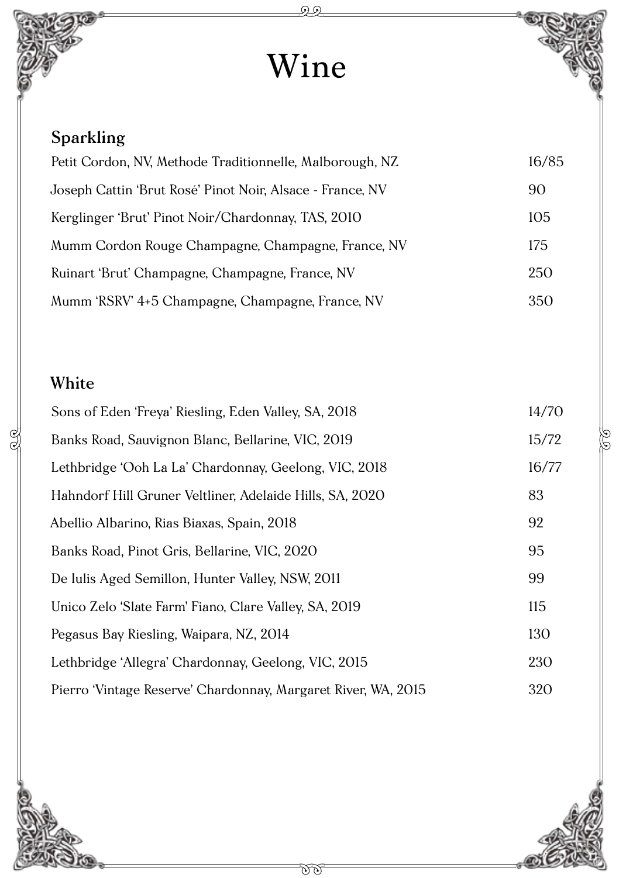# Wine

### **Sparkling**

| Petit Cordon, NV, Methode Traditionnelle, Malborough, NZ  | 16/85 |
|-----------------------------------------------------------|-------|
| Joseph Cattin 'Brut Rosé' Pinot Noir, Alsace - France, NV | 90    |
| Kerglinger 'Brut' Pinot Noir/Chardonnay, TAS, 2010        | 105   |
| Mumm Cordon Rouge Champagne, Champagne, France, NV        | 175   |
| Ruinart 'Brut' Champagne, Champagne, France, NV           | 250   |
| Mumm 'RSRV' 4+5 Champagne, Champagne, France, NV          | 350   |

#### **White**

 $\frac{1}{2}$ 

| Sons of Eden 'Freya' Riesling, Eden Valley, SA, 2018          | 14/70 |
|---------------------------------------------------------------|-------|
| Banks Road, Sauvignon Blanc, Bellarine, VIC, 2019             | 15/72 |
| Lethbridge 'Ooh La La' Chardonnay, Geelong, VIC, 2018         | 16/77 |
| Hahndorf Hill Gruner Veltliner, Adelaide Hills, SA, 2020      | 83    |
| Abellio Albarino, Rias Biaxas, Spain, 2018                    | 92    |
| Banks Road, Pinot Gris, Bellarine, VIC, 2020                  | 95    |
| De Iulis Aged Semillon, Hunter Valley, NSW, 2011              | 99    |
| Unico Zelo 'Slate Farm' Fiano, Clare Valley, SA, 2019         | 115   |
| Pegasus Bay Riesling, Waipara, NZ, 2014                       | 130   |
| Lethbridge 'Allegra' Chardonnay, Geelong, VIC, 2015           | 230   |
| Pierro 'Vintage Reserve' Chardonnay, Margaret River, WA, 2015 | 320   |



S